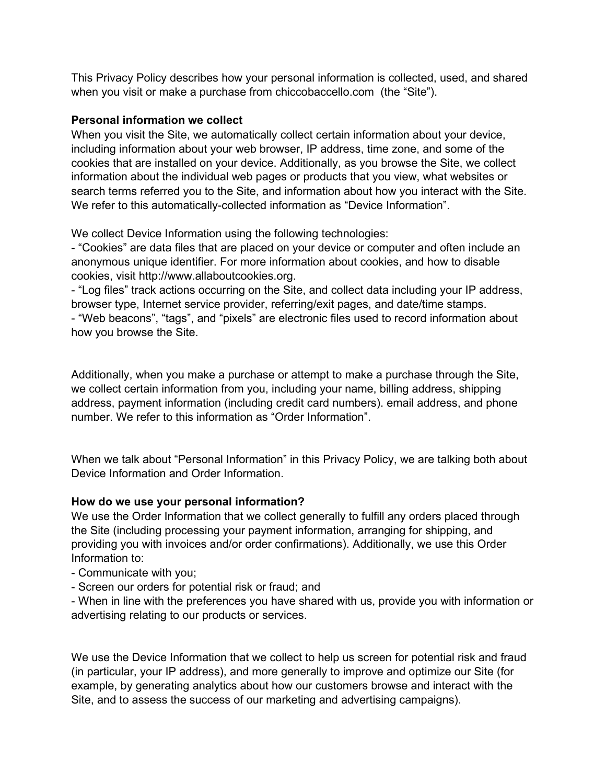This Privacy Policy describes how your personal information is collected, used, and shared when you visit or make a purchase from chiccobaccello.com (the "Site").

# **Personal information we collect**

When you visit the Site, we automatically collect certain information about your device, including information about your web browser, IP address, time zone, and some of the cookies that are installed on your device. Additionally, as you browse the Site, we collect information about the individual web pages or products that you view, what websites or search terms referred you to the Site, and information about how you interact with the Site. We refer to this automatically-collected information as "Device Information".

We collect Device Information using the following technologies:

- "Cookies" are data files that are placed on your device or computer and often include an anonymous unique identifier. For more information about cookies, and how to disable cookies, visit http://www.allaboutcookies.org.

- "Log files" track actions occurring on the Site, and collect data including your IP address, browser type, Internet service provider, referring/exit pages, and date/time stamps.

- "Web beacons", "tags", and "pixels" are electronic files used to record information about how you browse the Site.

Additionally, when you make a purchase or attempt to make a purchase through the Site, we collect certain information from you, including your name, billing address, shipping address, payment information (including credit card numbers). email address, and phone number. We refer to this information as "Order Information".

When we talk about "Personal Information" in this Privacy Policy, we are talking both about Device Information and Order Information.

# **How do we use your personal information?**

We use the Order Information that we collect generally to fulfill any orders placed through the Site (including processing your payment information, arranging for shipping, and providing you with invoices and/or order confirmations). Additionally, we use this Order Information to:

- Communicate with you;
- Screen our orders for potential risk or fraud; and

- When in line with the preferences you have shared with us, provide you with information or advertising relating to our products or services.

We use the Device Information that we collect to help us screen for potential risk and fraud (in particular, your IP address), and more generally to improve and optimize our Site (for example, by generating analytics about how our customers browse and interact with the Site, and to assess the success of our marketing and advertising campaigns).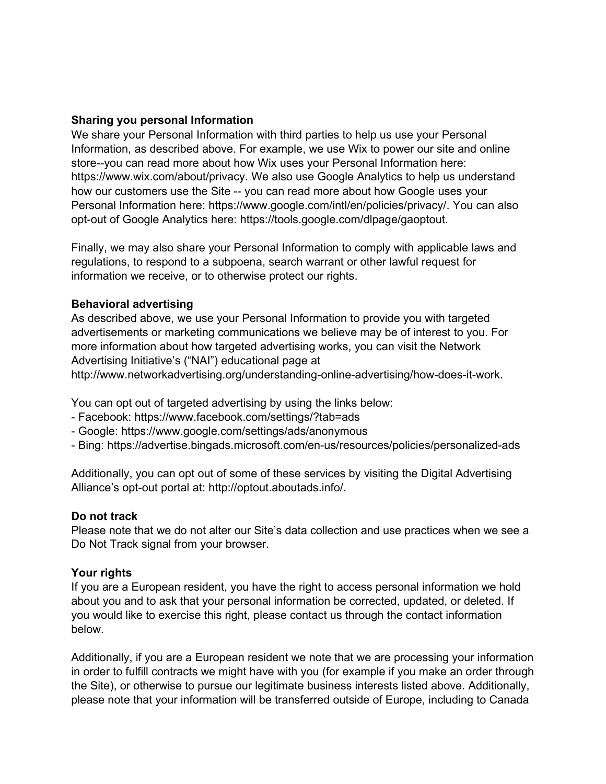## **Sharing you personal Information**

We share your Personal Information with third parties to help us use your Personal Information, as described above. For example, we use Wix to power our site and online store--you can read more about how Wix uses your Personal Information here: https://www.wix.com/about/privacy. We also use Google Analytics to help us understand how our customers use the Site -- you can read more about how Google uses your Personal Information here: https://www.google.com/intl/en/policies/privacy/. You can also opt-out of Google Analytics here: https://tools.google.com/dlpage/gaoptout.

Finally, we may also share your Personal Information to comply with applicable laws and regulations, to respond to a subpoena, search warrant or other lawful request for information we receive, or to otherwise protect our rights.

## **Behavioral advertising**

As described above, we use your Personal Information to provide you with targeted advertisements or marketing communications we believe may be of interest to you. For more information about how targeted advertising works, you can visit the Network Advertising Initiative's ("NAI") educational page at http://www.networkadvertising.org/understanding-online-advertising/how-does-it-work.

You can opt out of targeted advertising by using the links below:

- Facebook: https://www.facebook.com/settings/?tab=ads
- Google: https://www.google.com/settings/ads/anonymous
- Bing: https://advertise.bingads.microsoft.com/en-us/resources/policies/personalized-ads

Additionally, you can opt out of some of these services by visiting the Digital Advertising Alliance's opt-out portal at: http://optout.aboutads.info/.

#### **Do not track**

Please note that we do not alter our Site's data collection and use practices when we see a Do Not Track signal from your browser.

# **Your rights**

If you are a European resident, you have the right to access personal information we hold about you and to ask that your personal information be corrected, updated, or deleted. If you would like to exercise this right, please contact us through the contact information below.

Additionally, if you are a European resident we note that we are processing your information in order to fulfill contracts we might have with you (for example if you make an order through the Site), or otherwise to pursue our legitimate business interests listed above. Additionally, please note that your information will be transferred outside of Europe, including to Canada